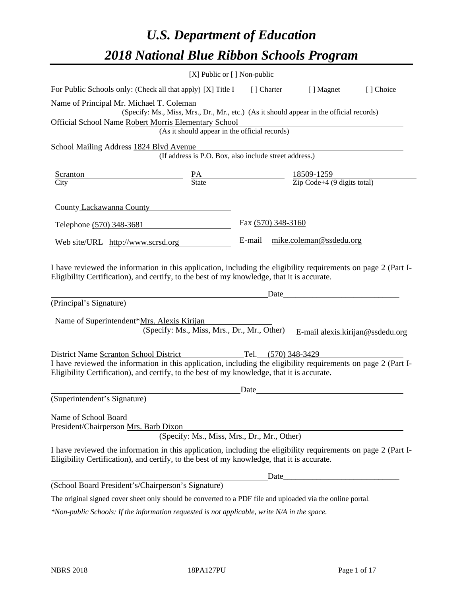# *U.S. Department of Education 2018 National Blue Ribbon Schools Program*

|                                                                                                                                                                                                                                                                                       | [X] Public or [] Non-public                                                                                                               |      |                                |                                  |
|---------------------------------------------------------------------------------------------------------------------------------------------------------------------------------------------------------------------------------------------------------------------------------------|-------------------------------------------------------------------------------------------------------------------------------------------|------|--------------------------------|----------------------------------|
| For Public Schools only: (Check all that apply) [X] Title I [] Charter [] Magnet                                                                                                                                                                                                      |                                                                                                                                           |      |                                | [] Choice                        |
| Name of Principal Mr. Michael T. Coleman<br>Official School Name Robert Morris Elementary School                                                                                                                                                                                      | (Specify: Ms., Miss, Mrs., Dr., Mr., etc.) (As it should appear in the official records)<br>(As it should appear in the official records) |      |                                |                                  |
| School Mailing Address 1824 Blvd Avenue                                                                                                                                                                                                                                               | Ivd Avenue<br>(If address is P.O. Box, also include street address.)                                                                      |      |                                |                                  |
| <b>Scranton</b><br>$\frac{PA}{State}$ $\frac{18509-1259}{Zip Code+4 (9 digits total)}$<br>City                                                                                                                                                                                        |                                                                                                                                           |      |                                |                                  |
| County Lackawanna County                                                                                                                                                                                                                                                              |                                                                                                                                           |      |                                |                                  |
| Telephone (570) 348-3681                                                                                                                                                                                                                                                              |                                                                                                                                           |      | Fax (570) 348-3160             |                                  |
| Web site/URL http://www.scrsd.org                                                                                                                                                                                                                                                     |                                                                                                                                           |      | E-mail mike.coleman@ssdedu.org |                                  |
| I have reviewed the information in this application, including the eligibility requirements on page 2 (Part I-<br>Eligibility Certification), and certify, to the best of my knowledge, that it is accurate.<br>(Principal's Signature)<br>Name of Superintendent*Mrs. Alexis Kirijan | (Specify: Ms., Miss, Mrs., Dr., Mr., Other)                                                                                               |      |                                | E-mail alexis.kirijan@ssdedu.org |
| District Name Scranton School District Tel. (570) 348-3429<br>I have reviewed the information in this application, including the eligibility requirements on page 2 (Part I-<br>Eligibility Certification), and certify, to the best of my knowledge, that it is accurate.            |                                                                                                                                           |      |                                |                                  |
| (Superintendent's Signature)                                                                                                                                                                                                                                                          |                                                                                                                                           | Date |                                |                                  |
| Name of School Board<br>President/Chairperson Mrs. Barb Dixon                                                                                                                                                                                                                         | (Specify: Ms., Miss, Mrs., Dr., Mr., Other)                                                                                               |      |                                |                                  |
| I have reviewed the information in this application, including the eligibility requirements on page 2 (Part I-<br>Eligibility Certification), and certify, to the best of my knowledge, that it is accurate.                                                                          |                                                                                                                                           |      |                                |                                  |
|                                                                                                                                                                                                                                                                                       |                                                                                                                                           |      | Date_                          |                                  |
| (School Board President's/Chairperson's Signature)                                                                                                                                                                                                                                    |                                                                                                                                           |      |                                |                                  |
| The original signed cover sheet only should be converted to a PDF file and uploaded via the online portal.                                                                                                                                                                            |                                                                                                                                           |      |                                |                                  |

*\*Non-public Schools: If the information requested is not applicable, write N/A in the space.*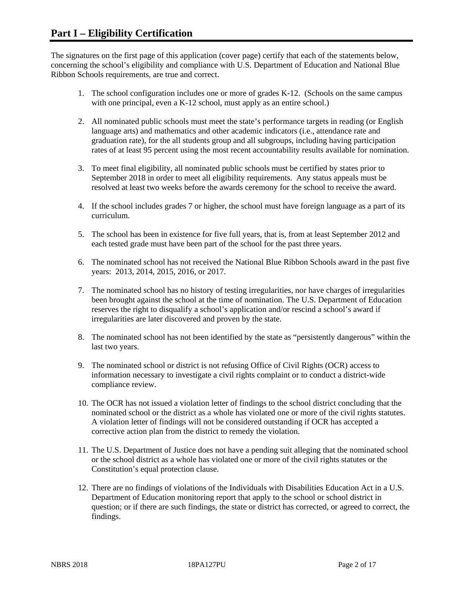The signatures on the first page of this application (cover page) certify that each of the statements below, concerning the school's eligibility and compliance with U.S. Department of Education and National Blue Ribbon Schools requirements, are true and correct.

- 1. The school configuration includes one or more of grades K-12. (Schools on the same campus with one principal, even a K-12 school, must apply as an entire school.)
- 2. All nominated public schools must meet the state's performance targets in reading (or English language arts) and mathematics and other academic indicators (i.e., attendance rate and graduation rate), for the all students group and all subgroups, including having participation rates of at least 95 percent using the most recent accountability results available for nomination.
- 3. To meet final eligibility, all nominated public schools must be certified by states prior to September 2018 in order to meet all eligibility requirements. Any status appeals must be resolved at least two weeks before the awards ceremony for the school to receive the award.
- 4. If the school includes grades 7 or higher, the school must have foreign language as a part of its curriculum.
- 5. The school has been in existence for five full years, that is, from at least September 2012 and each tested grade must have been part of the school for the past three years.
- 6. The nominated school has not received the National Blue Ribbon Schools award in the past five years: 2013, 2014, 2015, 2016, or 2017.
- 7. The nominated school has no history of testing irregularities, nor have charges of irregularities been brought against the school at the time of nomination. The U.S. Department of Education reserves the right to disqualify a school's application and/or rescind a school's award if irregularities are later discovered and proven by the state.
- 8. The nominated school has not been identified by the state as "persistently dangerous" within the last two years.
- 9. The nominated school or district is not refusing Office of Civil Rights (OCR) access to information necessary to investigate a civil rights complaint or to conduct a district-wide compliance review.
- 10. The OCR has not issued a violation letter of findings to the school district concluding that the nominated school or the district as a whole has violated one or more of the civil rights statutes. A violation letter of findings will not be considered outstanding if OCR has accepted a corrective action plan from the district to remedy the violation.
- 11. The U.S. Department of Justice does not have a pending suit alleging that the nominated school or the school district as a whole has violated one or more of the civil rights statutes or the Constitution's equal protection clause.
- 12. There are no findings of violations of the Individuals with Disabilities Education Act in a U.S. Department of Education monitoring report that apply to the school or school district in question; or if there are such findings, the state or district has corrected, or agreed to correct, the findings.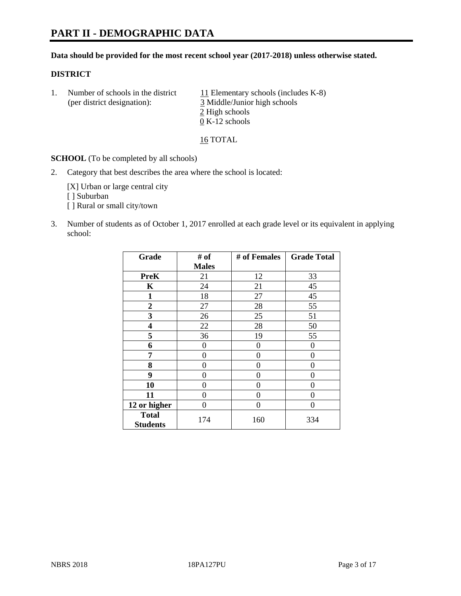# **PART II - DEMOGRAPHIC DATA**

#### **Data should be provided for the most recent school year (2017-2018) unless otherwise stated.**

#### **DISTRICT**

1. Number of schools in the district  $11$  Elementary schools (includes K-8) (per district designation): 3 Middle/Junior high schools 2 High schools 0 K-12 schools

16 TOTAL

**SCHOOL** (To be completed by all schools)

2. Category that best describes the area where the school is located:

[X] Urban or large central city [ ] Suburban [] Rural or small city/town

3. Number of students as of October 1, 2017 enrolled at each grade level or its equivalent in applying school:

| Grade                           | # of         | # of Females | <b>Grade Total</b> |
|---------------------------------|--------------|--------------|--------------------|
|                                 | <b>Males</b> |              |                    |
| <b>PreK</b>                     | 21           | 12           | 33                 |
| $\mathbf K$                     | 24           | 21           | 45                 |
| $\mathbf{1}$                    | 18           | 27           | 45                 |
| $\overline{2}$                  | 27           | 28           | 55                 |
| 3                               | 26           | 25           | 51                 |
| 4                               | 22           | 28           | 50                 |
| 5                               | 36           | 19           | 55                 |
| 6                               | 0            | $\theta$     | $\Omega$           |
| 7                               | 0            | $\theta$     | 0                  |
| 8                               | 0            | $\theta$     | 0                  |
| 9                               | 0            | 0            | 0                  |
| 10                              | 0            | 0            | 0                  |
| 11                              | 0            | 0            | 0                  |
| 12 or higher                    | 0            | 0            | 0                  |
| <b>Total</b><br><b>Students</b> | 174          | 160          | 334                |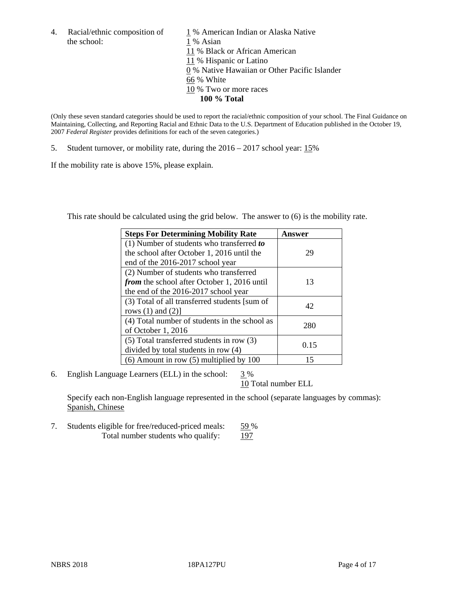the school: 1 % Asian

4. Racial/ethnic composition of  $1\%$  American Indian or Alaska Native 11 % Black or African American 11 % Hispanic or Latino 0 % Native Hawaiian or Other Pacific Islander 66 % White 10 % Two or more races **100 % Total**

(Only these seven standard categories should be used to report the racial/ethnic composition of your school. The Final Guidance on Maintaining, Collecting, and Reporting Racial and Ethnic Data to the U.S. Department of Education published in the October 19, 2007 *Federal Register* provides definitions for each of the seven categories.)

5. Student turnover, or mobility rate, during the 2016 – 2017 school year: 15%

If the mobility rate is above 15%, please explain.

This rate should be calculated using the grid below. The answer to (6) is the mobility rate.

| <b>Steps For Determining Mobility Rate</b>         | Answer |
|----------------------------------------------------|--------|
| $(1)$ Number of students who transferred to        |        |
| the school after October 1, 2016 until the         | 29     |
| end of the 2016-2017 school year                   |        |
| (2) Number of students who transferred             |        |
| <i>from</i> the school after October 1, 2016 until | 13     |
| the end of the 2016-2017 school year               |        |
| (3) Total of all transferred students [sum of      | 42     |
| rows $(1)$ and $(2)$ ]                             |        |
| (4) Total number of students in the school as      |        |
| of October 1, 2016                                 | 280    |
| $(5)$ Total transferred students in row $(3)$      |        |
| divided by total students in row (4)               | 0.15   |
| $(6)$ Amount in row $(5)$ multiplied by 100        | 15     |

6. English Language Learners (ELL) in the school:  $3\%$ 

10 Total number ELL

Specify each non-English language represented in the school (separate languages by commas): Spanish, Chinese

7. Students eligible for free/reduced-priced meals: 59 % Total number students who qualify: 197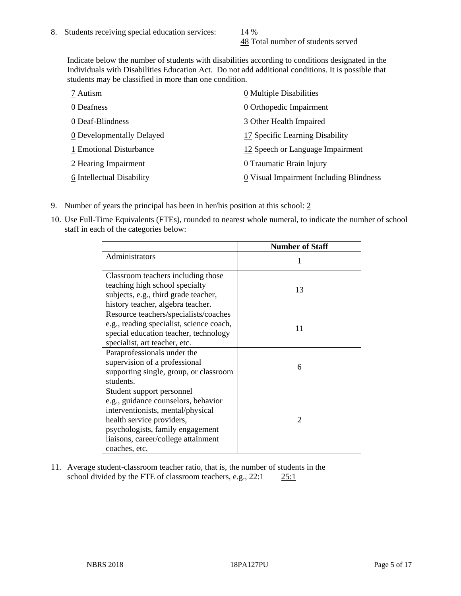48 Total number of students served

Indicate below the number of students with disabilities according to conditions designated in the Individuals with Disabilities Education Act. Do not add additional conditions. It is possible that students may be classified in more than one condition.

| 7 Autism                  | 0 Multiple Disabilities                 |
|---------------------------|-----------------------------------------|
| 0 Deafness                | 0 Orthopedic Impairment                 |
| 0 Deaf-Blindness          | 3 Other Health Impaired                 |
| 0 Developmentally Delayed | 17 Specific Learning Disability         |
| 1 Emotional Disturbance   | 12 Speech or Language Impairment        |
| 2 Hearing Impairment      | 0 Traumatic Brain Injury                |
| 6 Intellectual Disability | 0 Visual Impairment Including Blindness |

- 9. Number of years the principal has been in her/his position at this school:  $2$
- 10. Use Full-Time Equivalents (FTEs), rounded to nearest whole numeral, to indicate the number of school staff in each of the categories below:

|                                                                                                                                                                                                                                | <b>Number of Staff</b> |
|--------------------------------------------------------------------------------------------------------------------------------------------------------------------------------------------------------------------------------|------------------------|
| Administrators                                                                                                                                                                                                                 |                        |
| Classroom teachers including those<br>teaching high school specialty                                                                                                                                                           |                        |
| subjects, e.g., third grade teacher,                                                                                                                                                                                           | 13                     |
| history teacher, algebra teacher.<br>Resource teachers/specialists/coaches                                                                                                                                                     |                        |
| e.g., reading specialist, science coach,<br>special education teacher, technology<br>specialist, art teacher, etc.                                                                                                             | 11                     |
| Paraprofessionals under the<br>supervision of a professional<br>supporting single, group, or classroom<br>students.                                                                                                            | 6                      |
| Student support personnel<br>e.g., guidance counselors, behavior<br>interventionists, mental/physical<br>health service providers,<br>psychologists, family engagement<br>liaisons, career/college attainment<br>coaches, etc. | $\mathcal{D}$          |

11. Average student-classroom teacher ratio, that is, the number of students in the school divided by the FTE of classroom teachers, e.g., 22:1 25:1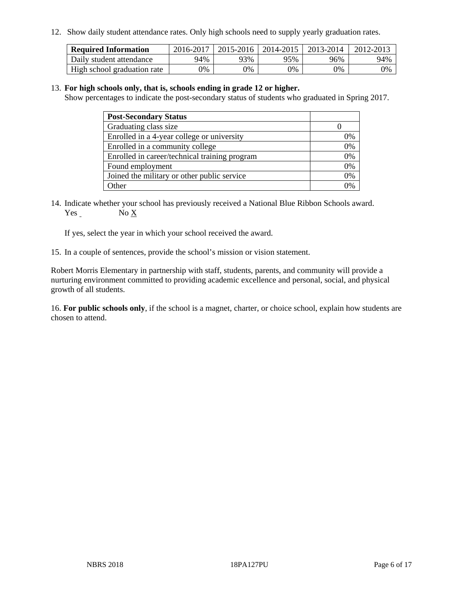12. Show daily student attendance rates. Only high schools need to supply yearly graduation rates.

| <b>Required Information</b> | 2016-2017 | 2015-2016 | 2014-2015 | 2013-2014 | 2012-2013 |
|-----------------------------|-----------|-----------|-----------|-----------|-----------|
| Daily student attendance    | 94%       | 93%       | 95%       | 96%       | 94%       |
| High school graduation rate | 0%        | 0%        | 0%        | 0%        | 0%        |

#### 13. **For high schools only, that is, schools ending in grade 12 or higher.**

Show percentages to indicate the post-secondary status of students who graduated in Spring 2017.

| <b>Post-Secondary Status</b>                  |    |
|-----------------------------------------------|----|
| Graduating class size                         |    |
| Enrolled in a 4-year college or university    | 0% |
| Enrolled in a community college               | 0% |
| Enrolled in career/technical training program | 0% |
| Found employment                              | 0% |
| Joined the military or other public service   | 0% |
| . Other                                       |    |

14. Indicate whether your school has previously received a National Blue Ribbon Schools award. Yes No X

If yes, select the year in which your school received the award.

15. In a couple of sentences, provide the school's mission or vision statement.

Robert Morris Elementary in partnership with staff, students, parents, and community will provide a nurturing environment committed to providing academic excellence and personal, social, and physical growth of all students.

16. **For public schools only**, if the school is a magnet, charter, or choice school, explain how students are chosen to attend.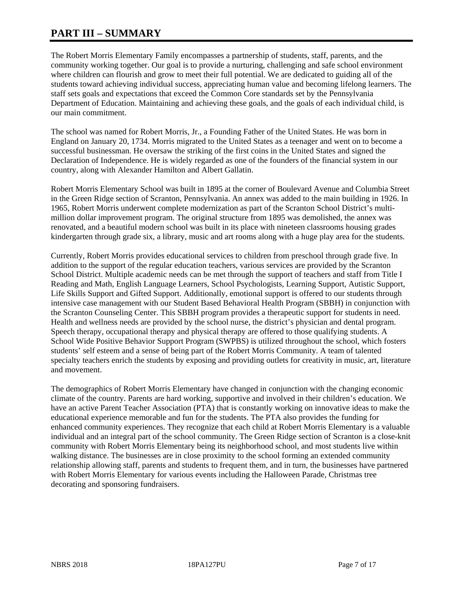# **PART III – SUMMARY**

The Robert Morris Elementary Family encompasses a partnership of students, staff, parents, and the community working together. Our goal is to provide a nurturing, challenging and safe school environment where children can flourish and grow to meet their full potential. We are dedicated to guiding all of the students toward achieving individual success, appreciating human value and becoming lifelong learners. The staff sets goals and expectations that exceed the Common Core standards set by the Pennsylvania Department of Education. Maintaining and achieving these goals, and the goals of each individual child, is our main commitment.

The school was named for Robert Morris, Jr., a Founding Father of the United States. He was born in England on January 20, 1734. Morris migrated to the United States as a teenager and went on to become a successful businessman. He oversaw the striking of the first coins in the United States and signed the Declaration of Independence. He is widely regarded as one of the founders of the financial system in our country, along with Alexander Hamilton and Albert Gallatin.

Robert Morris Elementary School was built in 1895 at the corner of Boulevard Avenue and Columbia Street in the Green Ridge section of Scranton, Pennsylvania. An annex was added to the main building in 1926. In 1965, Robert Morris underwent complete modernization as part of the Scranton School District's multimillion dollar improvement program. The original structure from 1895 was demolished, the annex was renovated, and a beautiful modern school was built in its place with nineteen classrooms housing grades kindergarten through grade six, a library, music and art rooms along with a huge play area for the students.

Currently, Robert Morris provides educational services to children from preschool through grade five. In addition to the support of the regular education teachers, various services are provided by the Scranton School District. Multiple academic needs can be met through the support of teachers and staff from Title I Reading and Math, English Language Learners, School Psychologists, Learning Support, Autistic Support, Life Skills Support and Gifted Support. Additionally, emotional support is offered to our students through intensive case management with our Student Based Behavioral Health Program (SBBH) in conjunction with the Scranton Counseling Center. This SBBH program provides a therapeutic support for students in need. Health and wellness needs are provided by the school nurse, the district's physician and dental program. Speech therapy, occupational therapy and physical therapy are offered to those qualifying students. A School Wide Positive Behavior Support Program (SWPBS) is utilized throughout the school, which fosters students' self esteem and a sense of being part of the Robert Morris Community. A team of talented specialty teachers enrich the students by exposing and providing outlets for creativity in music, art, literature and movement.

The demographics of Robert Morris Elementary have changed in conjunction with the changing economic climate of the country. Parents are hard working, supportive and involved in their children's education. We have an active Parent Teacher Association (PTA) that is constantly working on innovative ideas to make the educational experience memorable and fun for the students. The PTA also provides the funding for enhanced community experiences. They recognize that each child at Robert Morris Elementary is a valuable individual and an integral part of the school community. The Green Ridge section of Scranton is a close-knit community with Robert Morris Elementary being its neighborhood school, and most students live within walking distance. The businesses are in close proximity to the school forming an extended community relationship allowing staff, parents and students to frequent them, and in turn, the businesses have partnered with Robert Morris Elementary for various events including the Halloween Parade, Christmas tree decorating and sponsoring fundraisers.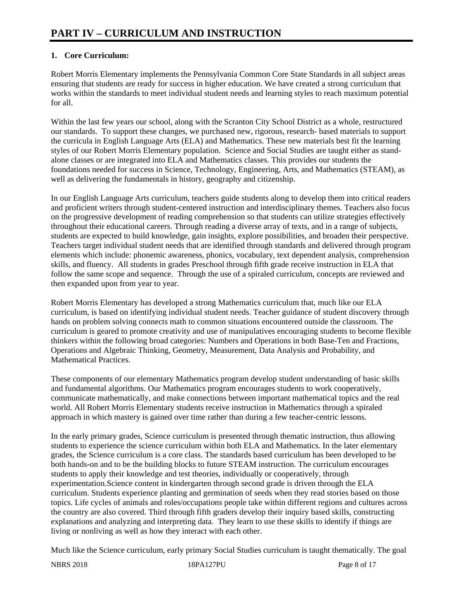# **1. Core Curriculum:**

Robert Morris Elementary implements the Pennsylvania Common Core State Standards in all subject areas ensuring that students are ready for success in higher education. We have created a strong curriculum that works within the standards to meet individual student needs and learning styles to reach maximum potential for all.

Within the last few years our school, along with the Scranton City School District as a whole, restructured our standards. To support these changes, we purchased new, rigorous, research- based materials to support the curricula in English Language Arts (ELA) and Mathematics. These new materials best fit the learning styles of our Robert Morris Elementary population. Science and Social Studies are taught either as standalone classes or are integrated into ELA and Mathematics classes. This provides our students the foundations needed for success in Science, Technology, Engineering, Arts, and Mathematics (STEAM), as well as delivering the fundamentals in history, geography and citizenship.

In our English Language Arts curriculum, teachers guide students along to develop them into critical readers and proficient writers through student-centered instruction and interdisciplinary themes. Teachers also focus on the progressive development of reading comprehension so that students can utilize strategies effectively throughout their educational careers. Through reading a diverse array of texts, and in a range of subjects, students are expected to build knowledge, gain insights, explore possibilities, and broaden their perspective. Teachers target individual student needs that are identified through standards and delivered through program elements which include: phonemic awareness, phonics, vocabulary, text dependent analysis, comprehension skills, and fluency. All students in grades Preschool through fifth grade receive instruction in ELA that follow the same scope and sequence. Through the use of a spiraled curriculum, concepts are reviewed and then expanded upon from year to year.

Robert Morris Elementary has developed a strong Mathematics curriculum that, much like our ELA curriculum, is based on identifying individual student needs. Teacher guidance of student discovery through hands on problem solving connects math to common situations encountered outside the classroom. The curriculum is geared to promote creativity and use of manipulatives encouraging students to become flexible thinkers within the following broad categories: Numbers and Operations in both Base-Ten and Fractions, Operations and Algebraic Thinking, Geometry, Measurement, Data Analysis and Probability, and Mathematical Practices.

These components of our elementary Mathematics program develop student understanding of basic skills and fundamental algorithms. Our Mathematics program encourages students to work cooperatively, communicate mathematically, and make connections between important mathematical topics and the real world. All Robert Morris Elementary students receive instruction in Mathematics through a spiraled approach in which mastery is gained over time rather than during a few teacher-centric lessons.

In the early primary grades, Science curriculum is presented through thematic instruction, thus allowing students to experience the science curriculum within both ELA and Mathematics. In the later elementary grades, the Science curriculum is a core class. The standards based curriculum has been developed to be both hands-on and to be the building blocks to future STEAM instruction. The curriculum encourages students to apply their knowledge and test theories, individually or cooperatively, through experimentation.Science content in kindergarten through second grade is driven through the ELA curriculum. Students experience planting and germination of seeds when they read stories based on those topics. Life cycles of animals and roles/occupations people take within different regions and cultures across the country are also covered. Third through fifth graders develop their inquiry based skills, constructing explanations and analyzing and interpreting data. They learn to use these skills to identify if things are living or nonliving as well as how they interact with each other.

Much like the Science curriculum, early primary Social Studies curriculum is taught thematically. The goal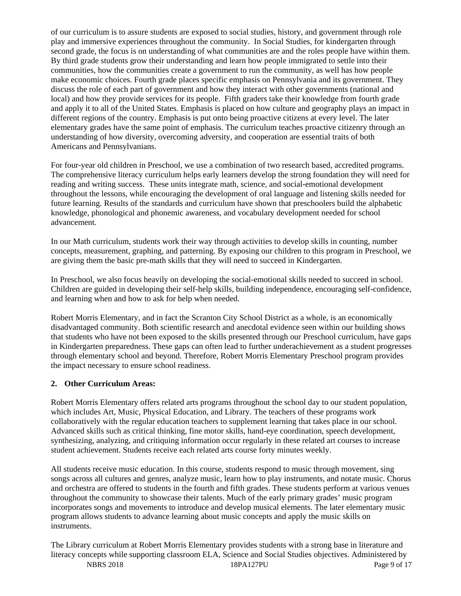of our curriculum is to assure students are exposed to social studies, history, and government through role play and immersive experiences throughout the community. In Social Studies, for kindergarten through second grade, the focus is on understanding of what communities are and the roles people have within them. By third grade students grow their understanding and learn how people immigrated to settle into their communities, how the communities create a government to run the community, as well has how people make economic choices. Fourth grade places specific emphasis on Pennsylvania and its government. They discuss the role of each part of government and how they interact with other governments (national and local) and how they provide services for its people. Fifth graders take their knowledge from fourth grade and apply it to all of the United States. Emphasis is placed on how culture and geography plays an impact in different regions of the country. Emphasis is put onto being proactive citizens at every level. The later elementary grades have the same point of emphasis. The curriculum teaches proactive citizenry through an understanding of how diversity, overcoming adversity, and cooperation are essential traits of both Americans and Pennsylvanians.

For four-year old children in Preschool, we use a combination of two research based, accredited programs. The comprehensive literacy curriculum helps early learners develop the strong foundation they will need for reading and writing success. These units integrate math, science, and social-emotional development throughout the lessons, while encouraging the development of oral language and listening skills needed for future learning. Results of the standards and curriculum have shown that preschoolers build the alphabetic knowledge, phonological and phonemic awareness, and vocabulary development needed for school advancement.

In our Math curriculum, students work their way through activities to develop skills in counting, number concepts, measurement, graphing, and patterning. By exposing our children to this program in Preschool, we are giving them the basic pre-math skills that they will need to succeed in Kindergarten.

In Preschool, we also focus heavily on developing the social-emotional skills needed to succeed in school. Children are guided in developing their self-help skills, building independence, encouraging self-confidence, and learning when and how to ask for help when needed.

Robert Morris Elementary, and in fact the Scranton City School District as a whole, is an economically disadvantaged community. Both scientific research and anecdotal evidence seen within our building shows that students who have not been exposed to the skills presented through our Preschool curriculum, have gaps in Kindergarten preparedness. These gaps can often lead to further underachievement as a student progresses through elementary school and beyond. Therefore, Robert Morris Elementary Preschool program provides the impact necessary to ensure school readiness.

# **2. Other Curriculum Areas:**

Robert Morris Elementary offers related arts programs throughout the school day to our student population, which includes Art, Music, Physical Education, and Library. The teachers of these programs work collaboratively with the regular education teachers to supplement learning that takes place in our school. Advanced skills such as critical thinking, fine motor skills, hand-eye coordination, speech development, synthesizing, analyzing, and critiquing information occur regularly in these related art courses to increase student achievement. Students receive each related arts course forty minutes weekly.

All students receive music education. In this course, students respond to music through movement, sing songs across all cultures and genres, analyze music, learn how to play instruments, and notate music. Chorus and orchestra are offered to students in the fourth and fifth grades. These students perform at various venues throughout the community to showcase their talents. Much of the early primary grades' music program incorporates songs and movements to introduce and develop musical elements. The later elementary music program allows students to advance learning about music concepts and apply the music skills on instruments.

NBRS 2018 **18PA127PU** Page 9 of 17 The Library curriculum at Robert Morris Elementary provides students with a strong base in literature and literacy concepts while supporting classroom ELA, Science and Social Studies objectives. Administered by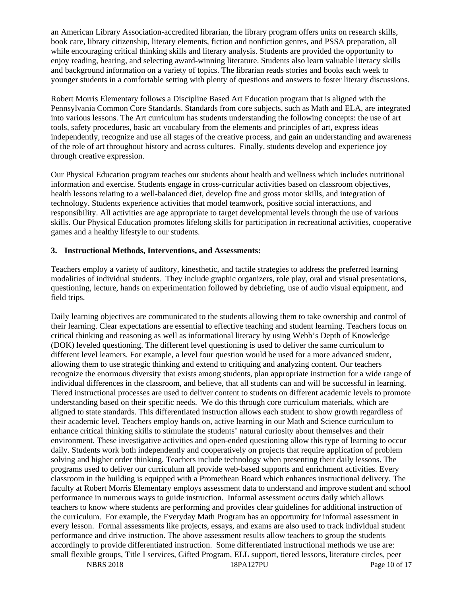an American Library Association-accredited librarian, the library program offers units on research skills, book care, library citizenship, literary elements, fiction and nonfiction genres, and PSSA preparation, all while encouraging critical thinking skills and literary analysis. Students are provided the opportunity to enjoy reading, hearing, and selecting award-winning literature. Students also learn valuable literacy skills and background information on a variety of topics. The librarian reads stories and books each week to younger students in a comfortable setting with plenty of questions and answers to foster literary discussions.

Robert Morris Elementary follows a Discipline Based Art Education program that is aligned with the Pennsylvania Common Core Standards. Standards from core subjects, such as Math and ELA, are integrated into various lessons. The Art curriculum has students understanding the following concepts: the use of art tools, safety procedures, basic art vocabulary from the elements and principles of art, express ideas independently, recognize and use all stages of the creative process, and gain an understanding and awareness of the role of art throughout history and across cultures. Finally, students develop and experience joy through creative expression.

Our Physical Education program teaches our students about health and wellness which includes nutritional information and exercise. Students engage in cross-curricular activities based on classroom objectives, health lessons relating to a well-balanced diet, develop fine and gross motor skills, and integration of technology. Students experience activities that model teamwork, positive social interactions, and responsibility. All activities are age appropriate to target developmental levels through the use of various skills. Our Physical Education promotes lifelong skills for participation in recreational activities, cooperative games and a healthy lifestyle to our students.

## **3. Instructional Methods, Interventions, and Assessments:**

Teachers employ a variety of auditory, kinesthetic, and tactile strategies to address the preferred learning modalities of individual students. They include graphic organizers, role play, oral and visual presentations, questioning, lecture, hands on experimentation followed by debriefing, use of audio visual equipment, and field trips.

NBRS 2018 18PA127PU Page 10 of 17 Daily learning objectives are communicated to the students allowing them to take ownership and control of their learning. Clear expectations are essential to effective teaching and student learning. Teachers focus on critical thinking and reasoning as well as informational literacy by using Webb's Depth of Knowledge (DOK) leveled questioning. The different level questioning is used to deliver the same curriculum to different level learners. For example, a level four question would be used for a more advanced student, allowing them to use strategic thinking and extend to critiquing and analyzing content. Our teachers recognize the enormous diversity that exists among students, plan appropriate instruction for a wide range of individual differences in the classroom, and believe, that all students can and will be successful in learning. Tiered instructional processes are used to deliver content to students on different academic levels to promote understanding based on their specific needs. We do this through core curriculum materials, which are aligned to state standards. This differentiated instruction allows each student to show growth regardless of their academic level. Teachers employ hands on, active learning in our Math and Science curriculum to enhance critical thinking skills to stimulate the students' natural curiosity about themselves and their environment. These investigative activities and open-ended questioning allow this type of learning to occur daily. Students work both independently and cooperatively on projects that require application of problem solving and higher order thinking. Teachers include technology when presenting their daily lessons. The programs used to deliver our curriculum all provide web-based supports and enrichment activities. Every classroom in the building is equipped with a Promethean Board which enhances instructional delivery. The faculty at Robert Morris Elementary employs assessment data to understand and improve student and school performance in numerous ways to guide instruction. Informal assessment occurs daily which allows teachers to know where students are performing and provides clear guidelines for additional instruction of the curriculum. For example, the Everyday Math Program has an opportunity for informal assessment in every lesson. Formal assessments like projects, essays, and exams are also used to track individual student performance and drive instruction. The above assessment results allow teachers to group the students accordingly to provide differentiated instruction. Some differentiated instructional methods we use are: small flexible groups, Title I services, Gifted Program, ELL support, tiered lessons, literature circles, peer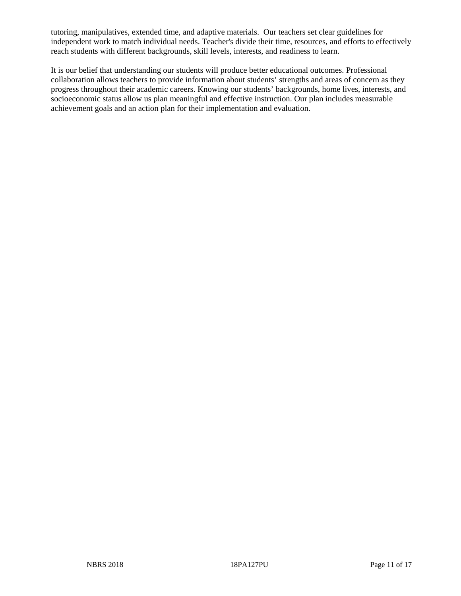tutoring, manipulatives, extended time, and adaptive materials. Our teachers set clear guidelines for independent work to match individual needs. Teacher's divide their time, resources, and efforts to effectively reach students with different backgrounds, skill levels, interests, and readiness to learn.

It is our belief that understanding our students will produce better educational outcomes. Professional collaboration allows teachers to provide information about students' strengths and areas of concern as they progress throughout their academic careers. Knowing our students' backgrounds, home lives, interests, and socioeconomic status allow us plan meaningful and effective instruction. Our plan includes measurable achievement goals and an action plan for their implementation and evaluation.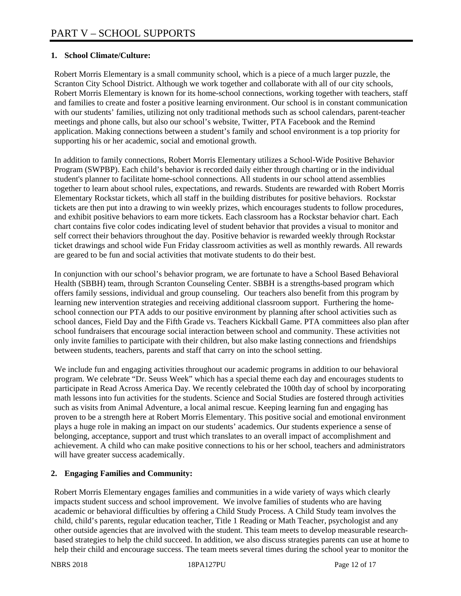## **1. School Climate/Culture:**

Robert Morris Elementary is a small community school, which is a piece of a much larger puzzle, the Scranton City School District. Although we work together and collaborate with all of our city schools, Robert Morris Elementary is known for its home-school connections, working together with teachers, staff and families to create and foster a positive learning environment. Our school is in constant communication with our students' families, utilizing not only traditional methods such as school calendars, parent-teacher meetings and phone calls, but also our school's website, Twitter, PTA Facebook and the Remind application. Making connections between a student's family and school environment is a top priority for supporting his or her academic, social and emotional growth.

In addition to family connections, Robert Morris Elementary utilizes a School-Wide Positive Behavior Program (SWPBP). Each child's behavior is recorded daily either through charting or in the individual student's planner to facilitate home-school connections. All students in our school attend assemblies together to learn about school rules, expectations, and rewards. Students are rewarded with Robert Morris Elementary Rockstar tickets, which all staff in the building distributes for positive behaviors. Rockstar tickets are then put into a drawing to win weekly prizes, which encourages students to follow procedures, and exhibit positive behaviors to earn more tickets. Each classroom has a Rockstar behavior chart. Each chart contains five color codes indicating level of student behavior that provides a visual to monitor and self correct their behaviors throughout the day. Positive behavior is rewarded weekly through Rockstar ticket drawings and school wide Fun Friday classroom activities as well as monthly rewards. All rewards are geared to be fun and social activities that motivate students to do their best.

In conjunction with our school's behavior program, we are fortunate to have a School Based Behavioral Health (SBBH) team, through Scranton Counseling Center. SBBH is a strengths-based program which offers family sessions, individual and group counseling. Our teachers also benefit from this program by learning new intervention strategies and receiving additional classroom support. Furthering the homeschool connection our PTA adds to our positive environment by planning after school activities such as school dances, Field Day and the Fifth Grade vs. Teachers Kickball Game. PTA committees also plan after school fundraisers that encourage social interaction between school and community. These activities not only invite families to participate with their children, but also make lasting connections and friendships between students, teachers, parents and staff that carry on into the school setting.

We include fun and engaging activities throughout our academic programs in addition to our behavioral program. We celebrate "Dr. Seuss Week" which has a special theme each day and encourages students to participate in Read Across America Day. We recently celebrated the 100th day of school by incorporating math lessons into fun activities for the students. Science and Social Studies are fostered through activities such as visits from Animal Adventure, a local animal rescue. Keeping learning fun and engaging has proven to be a strength here at Robert Morris Elementary. This positive social and emotional environment plays a huge role in making an impact on our students' academics. Our students experience a sense of belonging, acceptance, support and trust which translates to an overall impact of accomplishment and achievement. A child who can make positive connections to his or her school, teachers and administrators will have greater success academically.

# **2. Engaging Families and Community:**

Robert Morris Elementary engages families and communities in a wide variety of ways which clearly impacts student success and school improvement. We involve families of students who are having academic or behavioral difficulties by offering a Child Study Process. A Child Study team involves the child, child's parents, regular education teacher, Title 1 Reading or Math Teacher, psychologist and any other outside agencies that are involved with the student. This team meets to develop measurable researchbased strategies to help the child succeed. In addition, we also discuss strategies parents can use at home to help their child and encourage success. The team meets several times during the school year to monitor the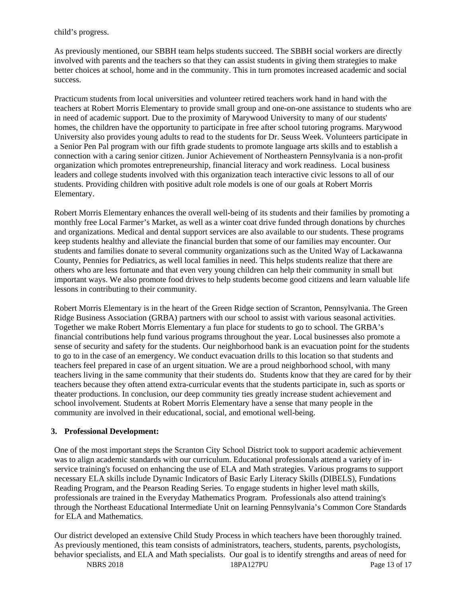child's progress.

As previously mentioned, our SBBH team helps students succeed. The SBBH social workers are directly involved with parents and the teachers so that they can assist students in giving them strategies to make better choices at school, home and in the community. This in turn promotes increased academic and social success.

Practicum students from local universities and volunteer retired teachers work hand in hand with the teachers at Robert Morris Elementary to provide small group and one-on-one assistance to students who are in need of academic support. Due to the proximity of Marywood University to many of our students' homes, the children have the opportunity to participate in free after school tutoring programs. Marywood University also provides young adults to read to the students for Dr. Seuss Week. Volunteers participate in a Senior Pen Pal program with our fifth grade students to promote language arts skills and to establish a connection with a caring senior citizen. Junior Achievement of Northeastern Pennsylvania is a non-profit organization which promotes entrepreneurship, financial literacy and work readiness. Local business leaders and college students involved with this organization teach interactive civic lessons to all of our students. Providing children with positive adult role models is one of our goals at Robert Morris Elementary.

Robert Morris Elementary enhances the overall well-being of its students and their families by promoting a monthly free Local Farmer's Market, as well as a winter coat drive funded through donations by churches and organizations. Medical and dental support services are also available to our students. These programs keep students healthy and alleviate the financial burden that some of our families may encounter. Our students and families donate to several community organizations such as the United Way of Lackawanna County, Pennies for Pediatrics, as well local families in need. This helps students realize that there are others who are less fortunate and that even very young children can help their community in small but important ways. We also promote food drives to help students become good citizens and learn valuable life lessons in contributing to their community.

Robert Morris Elementary is in the heart of the Green Ridge section of Scranton, Pennsylvania. The Green Ridge Business Association (GRBA) partners with our school to assist with various seasonal activities. Together we make Robert Morris Elementary a fun place for students to go to school. The GRBA's financial contributions help fund various programs throughout the year. Local businesses also promote a sense of security and safety for the students. Our neighborhood bank is an evacuation point for the students to go to in the case of an emergency. We conduct evacuation drills to this location so that students and teachers feel prepared in case of an urgent situation. We are a proud neighborhood school, with many teachers living in the same community that their students do. Students know that they are cared for by their teachers because they often attend extra-curricular events that the students participate in, such as sports or theater productions. In conclusion, our deep community ties greatly increase student achievement and school involvement. Students at Robert Morris Elementary have a sense that many people in the community are involved in their educational, social, and emotional well-being.

## **3. Professional Development:**

One of the most important steps the Scranton City School District took to support academic achievement was to align academic standards with our curriculum. Educational professionals attend a variety of inservice training's focused on enhancing the use of ELA and Math strategies. Various programs to support necessary ELA skills include Dynamic Indicators of Basic Early Literacy Skills (DIBELS), Fundations Reading Program, and the Pearson Reading Series. To engage students in higher level math skills, professionals are trained in the Everyday Mathematics Program. Professionals also attend training's through the Northeast Educational Intermediate Unit on learning Pennsylvania's Common Core Standards for ELA and Mathematics.

NBRS 2018 18PA127PU Page 13 of 17 Our district developed an extensive Child Study Process in which teachers have been thoroughly trained. As previously mentioned, this team consists of administrators, teachers, students, parents, psychologists, behavior specialists, and ELA and Math specialists. Our goal is to identify strengths and areas of need for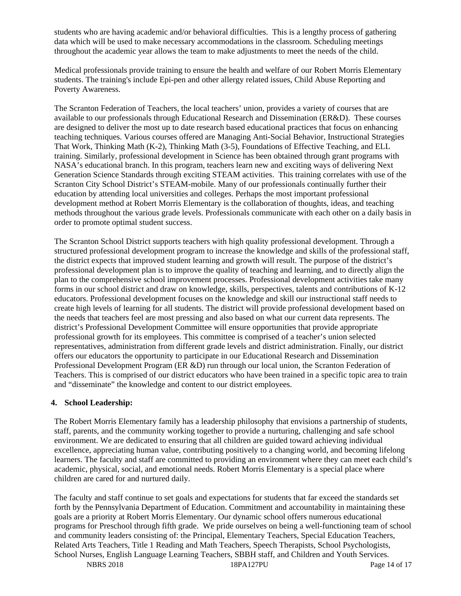students who are having academic and/or behavioral difficulties. This is a lengthy process of gathering data which will be used to make necessary accommodations in the classroom. Scheduling meetings throughout the academic year allows the team to make adjustments to meet the needs of the child.

Medical professionals provide training to ensure the health and welfare of our Robert Morris Elementary students. The training's include Epi-pen and other allergy related issues, Child Abuse Reporting and Poverty Awareness.

The Scranton Federation of Teachers, the local teachers' union, provides a variety of courses that are available to our professionals through Educational Research and Dissemination (ER&D). These courses are designed to deliver the most up to date research based educational practices that focus on enhancing teaching techniques. Various courses offered are Managing Anti-Social Behavior, Instructional Strategies That Work, Thinking Math (K-2), Thinking Math (3-5), Foundations of Effective Teaching, and ELL training. Similarly, professional development in Science has been obtained through grant programs with NASA's educational branch. In this program, teachers learn new and exciting ways of delivering Next Generation Science Standards through exciting STEAM activities. This training correlates with use of the Scranton City School District's STEAM-mobile. Many of our professionals continually further their education by attending local universities and colleges. Perhaps the most important professional development method at Robert Morris Elementary is the collaboration of thoughts, ideas, and teaching methods throughout the various grade levels. Professionals communicate with each other on a daily basis in order to promote optimal student success.

The Scranton School District supports teachers with high quality professional development. Through a structured professional development program to increase the knowledge and skills of the professional staff, the district expects that improved student learning and growth will result. The purpose of the district's professional development plan is to improve the quality of teaching and learning, and to directly align the plan to the comprehensive school improvement processes. Professional development activities take many forms in our school district and draw on knowledge, skills, perspectives, talents and contributions of K-12 educators. Professional development focuses on the knowledge and skill our instructional staff needs to create high levels of learning for all students. The district will provide professional development based on the needs that teachers feel are most pressing and also based on what our current data represents. The district's Professional Development Committee will ensure opportunities that provide appropriate professional growth for its employees. This committee is comprised of a teacher's union selected representatives, administration from different grade levels and district administration. Finally, our district offers our educators the opportunity to participate in our Educational Research and Dissemination Professional Development Program (ER &D) run through our local union, the Scranton Federation of Teachers. This is comprised of our district educators who have been trained in a specific topic area to train and "disseminate" the knowledge and content to our district employees.

## **4. School Leadership:**

The Robert Morris Elementary family has a leadership philosophy that envisions a partnership of students, staff, parents, and the community working together to provide a nurturing, challenging and safe school environment. We are dedicated to ensuring that all children are guided toward achieving individual excellence, appreciating human value, contributing positively to a changing world, and becoming lifelong learners. The faculty and staff are committed to providing an environment where they can meet each child's academic, physical, social, and emotional needs. Robert Morris Elementary is a special place where children are cared for and nurtured daily.

NBRS 2018 18PA127PU Page 14 of 17 The faculty and staff continue to set goals and expectations for students that far exceed the standards set forth by the Pennsylvania Department of Education. Commitment and accountability in maintaining these goals are a priority at Robert Morris Elementary. Our dynamic school offers numerous educational programs for Preschool through fifth grade. We pride ourselves on being a well-functioning team of school and community leaders consisting of: the Principal, Elementary Teachers, Special Education Teachers, Related Arts Teachers, Title 1 Reading and Math Teachers, Speech Therapists, School Psychologists, School Nurses, English Language Learning Teachers, SBBH staff, and Children and Youth Services.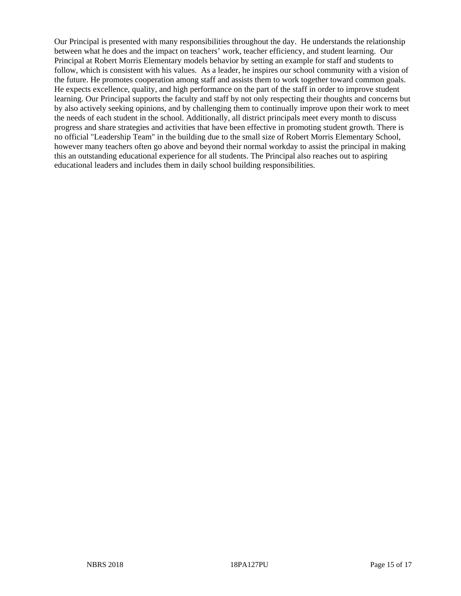Our Principal is presented with many responsibilities throughout the day. He understands the relationship between what he does and the impact on teachers' work, teacher efficiency, and student learning. Our Principal at Robert Morris Elementary models behavior by setting an example for staff and students to follow, which is consistent with his values. As a leader, he inspires our school community with a vision of the future. He promotes cooperation among staff and assists them to work together toward common goals. He expects excellence, quality, and high performance on the part of the staff in order to improve student learning. Our Principal supports the faculty and staff by not only respecting their thoughts and concerns but by also actively seeking opinions, and by challenging them to continually improve upon their work to meet the needs of each student in the school. Additionally, all district principals meet every month to discuss progress and share strategies and activities that have been effective in promoting student growth. There is no official "Leadership Team" in the building due to the small size of Robert Morris Elementary School, however many teachers often go above and beyond their normal workday to assist the principal in making this an outstanding educational experience for all students. The Principal also reaches out to aspiring educational leaders and includes them in daily school building responsibilities.